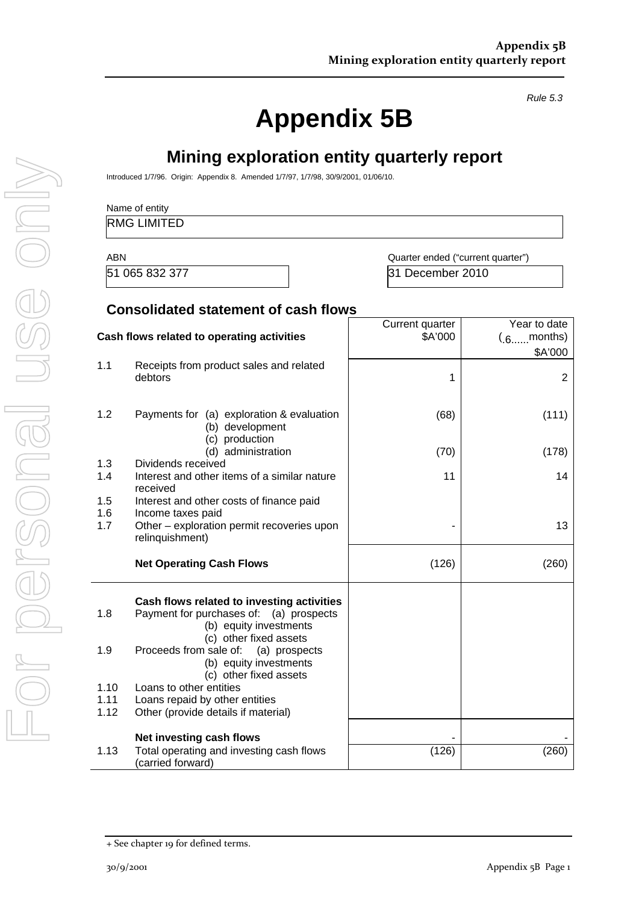*Rule 5.3* 

# **Appendix 5B**

**Mining exploration entity quarterly report** 

|            | <b>RMG LIMITED</b>                                                                                                 |                                   |                                              |
|------------|--------------------------------------------------------------------------------------------------------------------|-----------------------------------|----------------------------------------------|
| <b>ABN</b> |                                                                                                                    | Quarter ended ("current quarter") |                                              |
|            | 51 065 832 377                                                                                                     | 31 December 2010                  |                                              |
|            | <b>Consolidated statement of cash flows</b>                                                                        |                                   |                                              |
|            | Cash flows related to operating activities                                                                         | Current quarter<br>\$A'000        | Year to date<br>$(0.6 \dots 0.6)$<br>\$A'000 |
| 1.1        | Receipts from product sales and related<br>debtors                                                                 | 1                                 | 2                                            |
| 1.2        | Payments for (a) exploration & evaluation<br>(b) development                                                       | (68)                              | (111)                                        |
| 1.3        | (c) production<br>(d) administration                                                                               | (70)                              | (178)                                        |
| 1.4        | Dividends received<br>Interest and other items of a similar nature<br>received                                     | 11                                | 14                                           |
| 1.5<br>1.6 | Interest and other costs of finance paid<br>Income taxes paid                                                      |                                   |                                              |
| 1.7        | Other - exploration permit recoveries upon<br>relinquishment)                                                      |                                   | 13                                           |
|            | <b>Net Operating Cash Flows</b>                                                                                    | (126)                             | (260)                                        |
| 1.8        | Cash flows related to investing activities<br>Payment for purchases of: (a) prospects<br>(b) equity investments    |                                   |                                              |
| 1.9        | (c) other fixed assets<br>Proceeds from sale of: (a) prospects<br>(b) equity investments<br>(c) other fixed assets |                                   |                                              |
| 1.10       | Loans to other entities                                                                                            |                                   |                                              |
| 1.11       | Loans repaid by other entities                                                                                     |                                   |                                              |
| 1.12       | Other (provide details if material)                                                                                |                                   |                                              |
|            | Net investing cash flows                                                                                           |                                   |                                              |
| 1.13       | Total operating and investing cash flows<br>(carried forward)                                                      | (126)                             | (260)                                        |

For personal use only Forersonal use onny

<sup>+</sup> See chapter 19 for defined terms.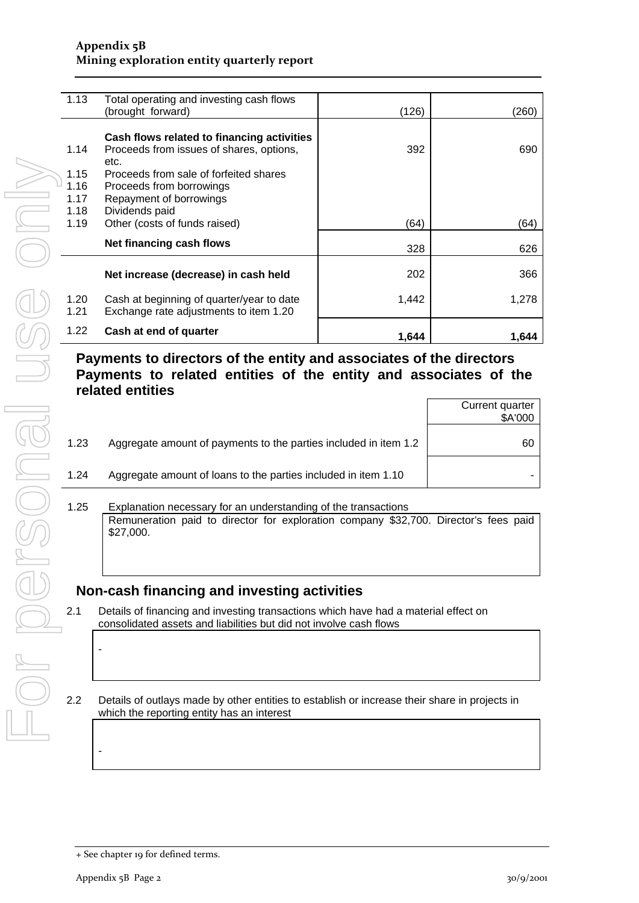#### **Appendix 5B Mining exploration entity quarterly report**

| 1.13 | Total operating and investing cash flows   |       |       |
|------|--------------------------------------------|-------|-------|
|      | (brought forward)                          | (126) | (260) |
|      |                                            |       |       |
|      | Cash flows related to financing activities |       |       |
| 1.14 | Proceeds from issues of shares, options,   | 392   | 690   |
|      | etc.                                       |       |       |
| 1.15 | Proceeds from sale of forfeited shares     |       |       |
| 1.16 | Proceeds from borrowings                   |       |       |
| 1.17 | Repayment of borrowings                    |       |       |
| 1.18 | Dividends paid                             |       |       |
| 1.19 | Other (costs of funds raised)              | (64)  | (64)  |
|      |                                            |       |       |
|      | Net financing cash flows                   | 328   | 626   |
|      |                                            |       |       |
|      | Net increase (decrease) in cash held       | 202   | 366   |
|      |                                            |       |       |
| 1.20 | Cash at beginning of quarter/year to date  | 1,442 | 1,278 |
| 1.21 | Exchange rate adjustments to item 1.20     |       |       |
|      |                                            |       |       |
| 1.22 | Cash at end of quarter                     | 1,644 | 1,644 |
|      |                                            |       |       |

### **Payments to directors of the entity and associates of the directors Payments to related entities of the entity and associates of the related entities**

|      |                                                                  | Current quarter<br>\$A'000 |
|------|------------------------------------------------------------------|----------------------------|
| 1.23 | Aggregate amount of payments to the parties included in item 1.2 | 60                         |
| 1.24 | Aggregate amount of loans to the parties included in item 1.10   |                            |
|      |                                                                  |                            |

1.25 Explanation necessary for an understanding of the transactions Remuneration paid to director for exploration company \$32,700. Director's fees paid \$27,000.

### **Non-cash financing and investing activities**

2.1 Details of financing and investing transactions which have had a material effect on consolidated assets and liabilities but did not involve cash flows

2.2 Details of outlays made by other entities to establish or increase their share in projects in which the reporting entity has an interest

-

-

<sup>+</sup> See chapter 19 for defined terms.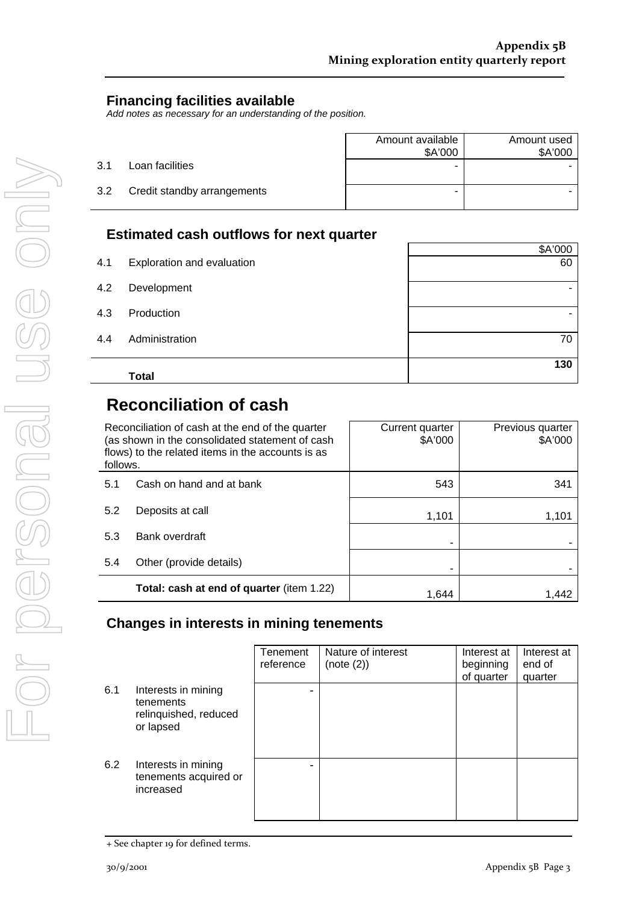### **Financing facilities available**

*Add notes as necessary for an understanding of the position.* 

|     |                             | Amount available<br>\$A'000 | Amount used<br>\$A'000 |
|-----|-----------------------------|-----------------------------|------------------------|
| 3.1 | Loan facilities             | -                           |                        |
| 3.2 | Credit standby arrangements | -                           |                        |

### **Estimated cash outflows for next quarter**

|     | <b>Total</b>               | 130     |
|-----|----------------------------|---------|
| 4.4 | Administration             | 70      |
| 4.3 | Production                 |         |
| 4.2 | Development                | ۰       |
| 4.1 | Exploration and evaluation | 60      |
|     |                            | \$A'000 |

## **Reconciliation of cash**

| Reconciliation of cash at the end of the quarter<br>(as shown in the consolidated statement of cash<br>flows) to the related items in the accounts is as<br>follows. |                                           | Current quarter<br>\$A'000 | Previous quarter<br>\$A'000 |
|----------------------------------------------------------------------------------------------------------------------------------------------------------------------|-------------------------------------------|----------------------------|-----------------------------|
| 5.1                                                                                                                                                                  | Cash on hand and at bank                  | 543                        | 341                         |
| 5.2                                                                                                                                                                  | Deposits at call                          | 1,101                      | 1,101                       |
| 5.3                                                                                                                                                                  | Bank overdraft                            |                            |                             |
| 5.4                                                                                                                                                                  | Other (provide details)                   |                            |                             |
|                                                                                                                                                                      | Total: cash at end of quarter (item 1.22) | 1.644                      | 1.442                       |

### **Changes in interests in mining tenements**

|     |                                                                        | Tenement<br>reference | Nature of interest<br>(note (2)) | Interest at<br>beginning<br>of quarter | Interest at<br>end of<br>quarter |
|-----|------------------------------------------------------------------------|-----------------------|----------------------------------|----------------------------------------|----------------------------------|
| 6.1 | Interests in mining<br>tenements<br>relinquished, reduced<br>or lapsed | -                     |                                  |                                        |                                  |
| 6.2 | Interests in mining<br>tenements acquired or<br>increased              | -                     |                                  |                                        |                                  |

<sup>+</sup> See chapter 19 for defined terms.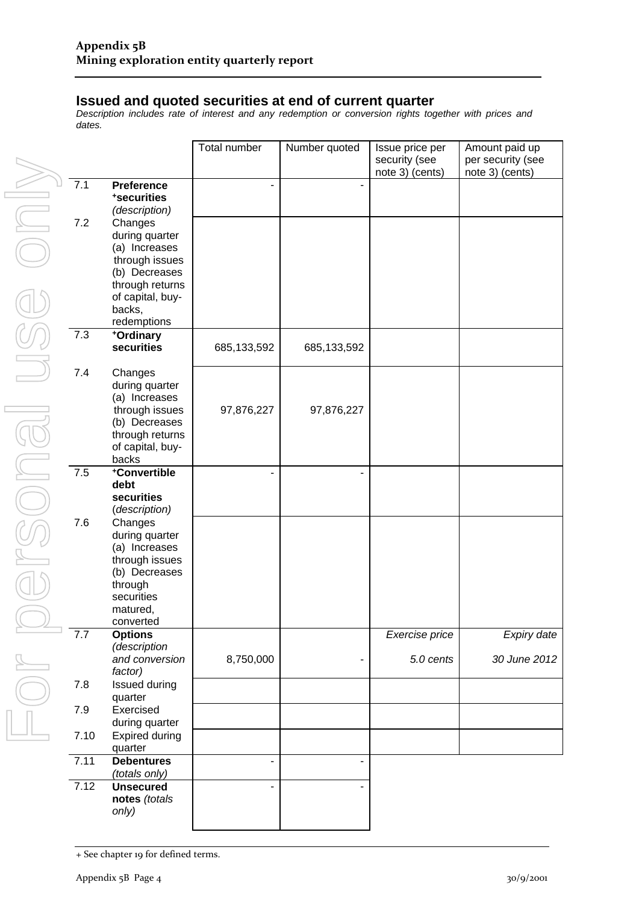#### **Issued and quoted securities at end of current quarter**

*Description includes rate of interest and any redemption or conversion rights together with prices and dates.* 

|                             |      |                                                                                                                                               | Total number | Number quoted | Issue price per<br>security (see<br>note 3) (cents) | Amount paid up<br>per security (see<br>note 3) (cents) |
|-----------------------------|------|-----------------------------------------------------------------------------------------------------------------------------------------------|--------------|---------------|-----------------------------------------------------|--------------------------------------------------------|
| $\exists$<br>$\overline{a}$ | 7.1  | <b>Preference</b><br>*securities<br>(description)                                                                                             |              |               |                                                     |                                                        |
| J                           | 7.2  | Changes<br>during quarter<br>(a) Increases<br>through issues<br>(b) Decreases<br>through returns<br>of capital, buy-<br>backs,<br>redemptions |              |               |                                                     |                                                        |
|                             | 7.3  | +Ordinary<br>securities                                                                                                                       | 685,133,592  | 685, 133, 592 |                                                     |                                                        |
| $\Box$                      | 7.4  | Changes<br>during quarter<br>(a) Increases<br>through issues<br>(b) Decreases<br>through returns<br>of capital, buy-<br>backs                 | 97,876,227   | 97,876,227    |                                                     |                                                        |
| J                           | 7.5  | +Convertible<br>debt<br>securities<br>(description)                                                                                           |              |               |                                                     |                                                        |
|                             | 7.6  | Changes<br>during quarter<br>(a) Increases<br>through issues<br>(b) Decreases<br>through<br>securities<br>matured,<br>converted               |              |               |                                                     |                                                        |
| E                           | 7.7  | <b>Options</b><br>(description<br>and conversion<br>factor)                                                                                   | 8,750,000    |               | Exercise price<br>5.0 cents                         | Expiry date<br>30 June 2012                            |
|                             | 7.8  | Issued during<br>quarter                                                                                                                      |              |               |                                                     |                                                        |
|                             | 7.9  | Exercised<br>during quarter                                                                                                                   |              |               |                                                     |                                                        |
| ⊒                           | 7.10 | <b>Expired during</b><br>quarter                                                                                                              |              |               |                                                     |                                                        |
|                             | 7.11 | <b>Debentures</b><br>(totals only)                                                                                                            |              |               |                                                     |                                                        |
|                             | 7.12 | <b>Unsecured</b><br>notes (totals<br>only)                                                                                                    |              |               |                                                     |                                                        |

<sup>+</sup> See chapter 19 for defined terms.